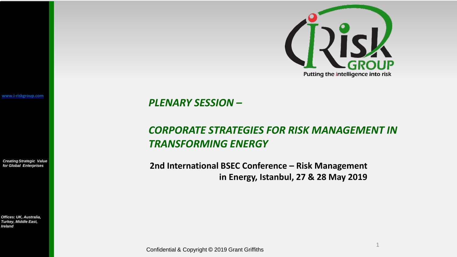

**[www.i-riskgroup.com](http://www.i-riskgroup.com/)**

*CreatingStrategic Value for Global Enterprises*

*Offices: UK, Australia, Turkey, Middle East, Ireland*

*PLENARY SESSION –*

## *CORPORATE STRATEGIES FOR RISK MANAGEMENT IN TRANSFORMING ENERGY*

**2nd International BSEC Conference – Risk Management in Energy, Istanbul, 27 & 28 May 2019**

1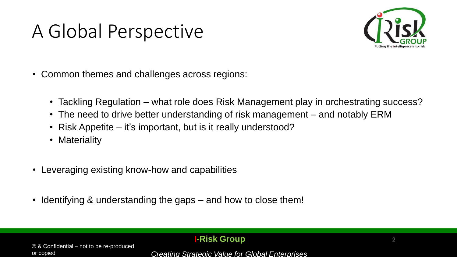# A Global Perspective



- Common themes and challenges across regions:
	- Tackling Regulation what role does Risk Management play in orchestrating success?
	- The need to drive better understanding of risk management and notably ERM
	- Risk Appetite it's important, but is it really understood?
	- Materiality
- Leveraging existing know-how and capabilities
- Identifying & understanding the gaps and how to close them!

#### **I-Risk Group**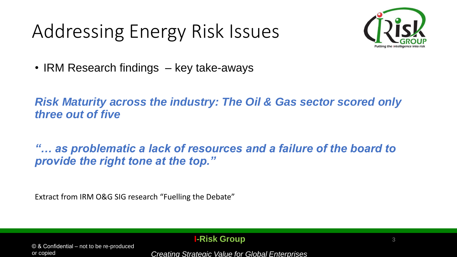# Addressing Energy Risk Issues



• IRM Research findings – key take-aways

*Risk Maturity across the industry: The Oil & Gas sector scored only three out of five*

*"… as problematic a lack of resources and a failure of the board to provide the right tone at the top."*

Extract from IRM O&G SIG research "Fuelling the Debate"

© & Confidential – not to be re-produced or copied

#### **I-Risk Group**

*Creating Strategic Value for Global Enterprises*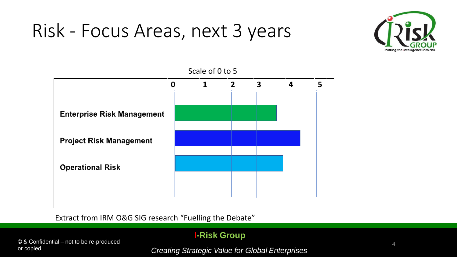# Risk - Focus Areas, next 3 years





Extract from IRM O&G SIG research "Fuelling the Debate"

© & Confidential – not to be re-produced or copied

### **I-Risk Group**

*Creating Strategic Value for Global Enterprises*